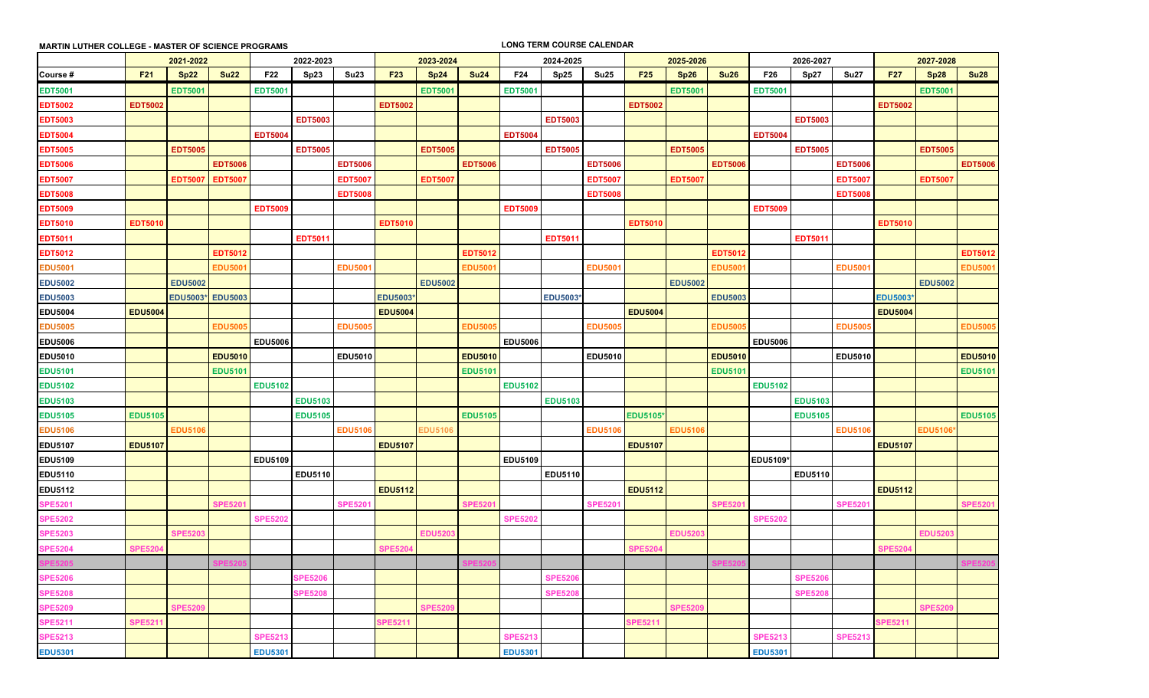|                | <b>MARTIN LUTHER COLLEGE - MASTER OF SCIENCE PROGRAMS</b> |                 |                |                |                |                |                |                |                |                | <b>LONG TERM COURSE CALENDAR</b> |                |                 |                |                |                 |                |                |                |                |                |  |  |
|----------------|-----------------------------------------------------------|-----------------|----------------|----------------|----------------|----------------|----------------|----------------|----------------|----------------|----------------------------------|----------------|-----------------|----------------|----------------|-----------------|----------------|----------------|----------------|----------------|----------------|--|--|
|                | 2021-2022                                                 |                 |                |                | 2022-2023      |                |                | 2023-2024      |                |                | 2024-2025                        |                |                 | 2025-2026      |                |                 | 2026-2027      |                |                | 2027-2028      |                |  |  |
| Course #       | F <sub>21</sub>                                           | Sp22            | Su22           | F22            | Sp23           | <b>Su23</b>    | <b>F23</b>     | Sp24           | <b>Su24</b>    | F24            | Sp25                             | <b>Su25</b>    | F <sub>25</sub> | Sp26           | <b>Su26</b>    | F26             | Sp27           | <b>Su27</b>    | <b>F27</b>     | Sp28           | <b>Su28</b>    |  |  |
| <b>EDT5001</b> |                                                           | <b>EDT5001</b>  |                | <b>EDT5001</b> |                |                |                | <b>EDT5001</b> |                | <b>EDT5001</b> |                                  |                |                 | <b>EDT5001</b> |                | <b>EDT5001</b>  |                |                |                | <b>EDT5001</b> |                |  |  |
| <b>EDT5002</b> | <b>EDT5002</b>                                            |                 |                |                |                |                | <b>EDT5002</b> |                |                |                |                                  |                | <b>EDT5002</b>  |                |                |                 |                |                | <b>EDT5002</b> |                |                |  |  |
| <b>EDT5003</b> |                                                           |                 |                |                | <b>EDT5003</b> |                |                |                |                |                | <b>EDT5003</b>                   |                |                 |                |                |                 | <b>EDT5003</b> |                |                |                |                |  |  |
| <b>EDT5004</b> |                                                           |                 |                | <b>EDT5004</b> |                |                |                |                |                | <b>EDT5004</b> |                                  |                |                 |                |                | <b>EDT5004</b>  |                |                |                |                |                |  |  |
| <b>EDT5005</b> |                                                           | <b>EDT5005</b>  |                |                | <b>EDT5005</b> |                |                | <b>EDT5005</b> |                |                | <b>EDT5005</b>                   |                |                 | <b>EDT5005</b> |                |                 | <b>EDT5005</b> |                |                | <b>EDT5005</b> |                |  |  |
| <b>EDT5006</b> |                                                           |                 | <b>EDT5006</b> |                |                | <b>EDT5006</b> |                |                | <b>EDT5006</b> |                |                                  | <b>EDT5006</b> |                 |                | <b>EDT5006</b> |                 |                | <b>EDT5006</b> |                |                | <b>EDT5006</b> |  |  |
| <b>EDT5007</b> |                                                           | <b>EDT5007</b>  | <b>EDT5007</b> |                |                | <b>EDT5007</b> |                | <b>EDT5007</b> |                |                |                                  | <b>EDT5007</b> |                 | <b>EDT5007</b> |                |                 |                | <b>EDT5007</b> |                | <b>EDT5007</b> |                |  |  |
| <b>EDT5008</b> |                                                           |                 |                |                |                | <b>EDT5008</b> |                |                |                |                |                                  | <b>EDT5008</b> |                 |                |                |                 |                | <b>EDT5008</b> |                |                |                |  |  |
| <b>EDT5009</b> |                                                           |                 |                | <b>EDT5009</b> |                |                |                |                |                | <b>EDT5009</b> |                                  |                |                 |                |                | <b>EDT5009</b>  |                |                |                |                |                |  |  |
| <b>EDT5010</b> | <b>EDT5010</b>                                            |                 |                |                |                |                | <b>EDT5010</b> |                |                |                |                                  |                | <b>EDT5010</b>  |                |                |                 |                |                | <b>EDT5010</b> |                |                |  |  |
| <b>EDT5011</b> |                                                           |                 |                |                | <b>EDT5011</b> |                |                |                |                |                | <b>EDT5011</b>                   |                |                 |                |                |                 | <b>EDT5011</b> |                |                |                |                |  |  |
| <b>EDT5012</b> |                                                           |                 | <b>EDT5012</b> |                |                |                |                |                | <b>EDT5012</b> |                |                                  |                |                 |                | <b>EDT5012</b> |                 |                |                |                |                | <b>EDT5012</b> |  |  |
| <b>EDU5001</b> |                                                           |                 | <b>EDU5001</b> |                |                | <b>EDU5001</b> |                |                | <b>EDU5001</b> |                |                                  | <b>EDU5001</b> |                 |                | <b>EDU5001</b> |                 |                | <b>EDU5001</b> |                |                | <b>EDU5001</b> |  |  |
| <b>EDU5002</b> |                                                           | <b>EDU5002</b>  |                |                |                |                |                | <b>EDU5002</b> |                |                |                                  |                |                 | <b>EDU5002</b> |                |                 |                |                |                | <b>EDU5002</b> |                |  |  |
| <b>EDU5003</b> |                                                           | <b>EDU5003*</b> | <b>EDU5003</b> |                |                |                | EDU5003*       |                |                |                | EDU5003                          |                |                 |                | <b>EDU5003</b> |                 |                |                | <b>EDU5003</b> |                |                |  |  |
| <b>EDU5004</b> | <b>EDU5004</b>                                            |                 |                |                |                |                | <b>EDU5004</b> |                |                |                |                                  |                | <b>EDU5004</b>  |                |                |                 |                |                | <b>EDU5004</b> |                |                |  |  |
| <b>EDU5005</b> |                                                           |                 | <b>EDU5005</b> |                |                | <b>EDU5005</b> |                |                | <b>EDU5005</b> |                |                                  | <b>EDU5005</b> |                 |                | <b>EDU5005</b> |                 |                | <b>EDU5005</b> |                |                | <b>EDU5005</b> |  |  |
| <b>EDU5006</b> |                                                           |                 |                | <b>EDU5006</b> |                |                |                |                |                | <b>EDU5006</b> |                                  |                |                 |                |                | <b>EDU5006</b>  |                |                |                |                |                |  |  |
| <b>EDU5010</b> |                                                           |                 | <b>EDU5010</b> |                |                | <b>EDU5010</b> |                |                | <b>EDU5010</b> |                |                                  | <b>EDU5010</b> |                 |                | <b>EDU5010</b> |                 |                | <b>EDU5010</b> |                |                | <b>EDU5010</b> |  |  |
| <b>EDU5101</b> |                                                           |                 | <b>EDU5101</b> |                |                |                |                |                | <b>EDU5101</b> |                |                                  |                |                 |                | <b>EDU5101</b> |                 |                |                |                |                | <b>EDU5101</b> |  |  |
| <b>EDU5102</b> |                                                           |                 |                | <b>EDU5102</b> |                |                |                |                |                | <b>EDU5102</b> |                                  |                |                 |                |                | <b>EDU5102</b>  |                |                |                |                |                |  |  |
| <b>EDU5103</b> |                                                           |                 |                |                | <b>EDU5103</b> |                |                |                |                |                | <b>EDU5103</b>                   |                |                 |                |                |                 | <b>EDU5103</b> |                |                |                |                |  |  |
| <b>EDU5105</b> | <b>EDU5105</b>                                            |                 |                |                | <b>EDU5105</b> |                |                |                | <b>EDU5105</b> |                |                                  |                | <b>EDU5105*</b> |                |                |                 | <b>EDU5105</b> |                |                |                | <b>EDU5105</b> |  |  |
| <b>EDU5106</b> |                                                           | <b>EDU5106</b>  |                |                |                | <b>EDU5106</b> |                | EDU5106        |                |                |                                  | <b>EDU510</b>  |                 | <b>EDU5106</b> |                |                 |                | <b>EDU5106</b> |                | <b>EDU5106</b> |                |  |  |
| <b>EDU5107</b> | <b>EDU5107</b>                                            |                 |                |                |                |                | <b>EDU5107</b> |                |                |                |                                  |                | <b>EDU5107</b>  |                |                |                 |                |                | <b>EDU5107</b> |                |                |  |  |
| <b>EDU5109</b> |                                                           |                 |                | <b>EDU5109</b> |                |                |                |                |                | <b>EDU5109</b> |                                  |                |                 |                |                | <b>EDU5109*</b> |                |                |                |                |                |  |  |
| <b>EDU5110</b> |                                                           |                 |                |                | <b>EDU5110</b> |                |                |                |                |                | <b>EDU5110</b>                   |                |                 |                |                |                 | <b>EDU5110</b> |                |                |                |                |  |  |
| <b>EDU5112</b> |                                                           |                 |                |                |                |                | <b>EDU5112</b> |                |                |                |                                  |                | <b>EDU5112</b>  |                |                |                 |                |                | <b>EDU5112</b> |                |                |  |  |
| <b>SPE5201</b> |                                                           |                 | <b>SPE5201</b> |                |                | <b>SPE5201</b> |                |                | <b>SPE5201</b> |                |                                  | <b>SPE520</b>  |                 |                | <b>SPE5201</b> |                 |                | <b>SPE5201</b> |                |                | <b>SPE5201</b> |  |  |
| <b>SPE5202</b> |                                                           |                 |                | <b>SPE5202</b> |                |                |                |                |                | <b>SPE5202</b> |                                  |                |                 |                |                | <b>SPE5202</b>  |                |                |                |                |                |  |  |
| <b>SPE5203</b> |                                                           | <b>SPE5203</b>  |                |                |                |                |                | <b>EDU520</b>  |                |                |                                  |                |                 | <b>EDU520</b>  |                |                 |                |                |                | <b>EDU520</b>  |                |  |  |
| <b>SPE5204</b> | <b>SPE5204</b>                                            |                 |                |                |                |                | <b>SPE5204</b> |                |                |                |                                  |                | <b>SPE5204</b>  |                |                |                 |                |                | <b>SPE5204</b> |                |                |  |  |
|                |                                                           |                 |                |                |                |                |                |                |                |                |                                  |                |                 |                |                |                 |                |                |                |                |                |  |  |
| <b>SPE5206</b> |                                                           |                 |                |                | <b>SPE5206</b> |                |                |                |                |                | <b>SPE520</b>                    |                |                 |                |                |                 | <b>SPE5200</b> |                |                |                |                |  |  |
| <b>SPE5208</b> |                                                           |                 |                |                | <b>SPE5208</b> |                |                |                |                |                | <b>SPE520</b>                    |                |                 |                |                |                 | <b>SPE5208</b> |                |                |                |                |  |  |
| <b>SPE5209</b> |                                                           | <b>SPE5209</b>  |                |                |                |                |                | <b>SPE520</b>  |                |                |                                  |                |                 | <b>SPE520</b>  |                |                 |                |                |                | <b>SPE5209</b> |                |  |  |
| <b>SPE5211</b> | <b>SPE521</b>                                             |                 |                |                |                |                | <b>SPE5211</b> |                |                |                |                                  |                | <b>SPE5211</b>  |                |                |                 |                |                | <b>SPE5211</b> |                |                |  |  |
| <b>SPE5213</b> |                                                           |                 |                | <b>SPE521</b>  |                |                |                |                |                | <b>SPE5213</b> |                                  |                |                 |                |                | <b>SPE521</b>   |                | <b>SPE5213</b> |                |                |                |  |  |
| <b>EDU5301</b> |                                                           |                 |                | <b>EDU5301</b> |                |                |                |                |                | <b>EDU5301</b> |                                  |                |                 |                |                | <b>EDU5301</b>  |                |                |                |                |                |  |  |